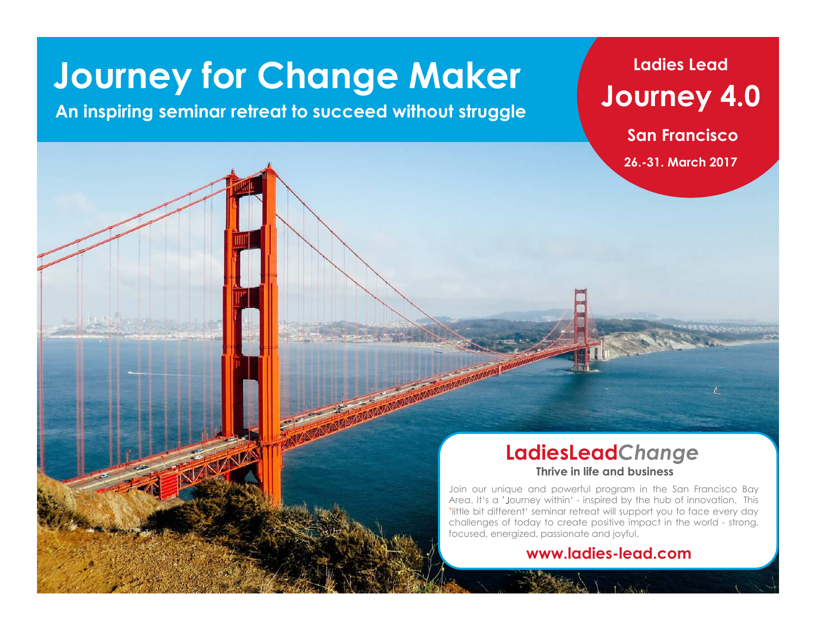# **Journey for Change Maker**

## **An inspiring seminar retreat to succeed without struggle**

## **Ladies LeadJourney 4.0**

**San Francisco**

**26.-31. March 2017**

#### **Thrive in life and businessLadiesLead***Change*

Join our unique and powerful program in the San Francisco Bay Area. It's a 'Journey within' - inspired by the hub of innovation. This 'little bit different' seminar retreat will support you to face every day challenges of today to create positive impact in the world - strong, focused, energized, passionate and joyful.

#### **www.ladies-lead.com**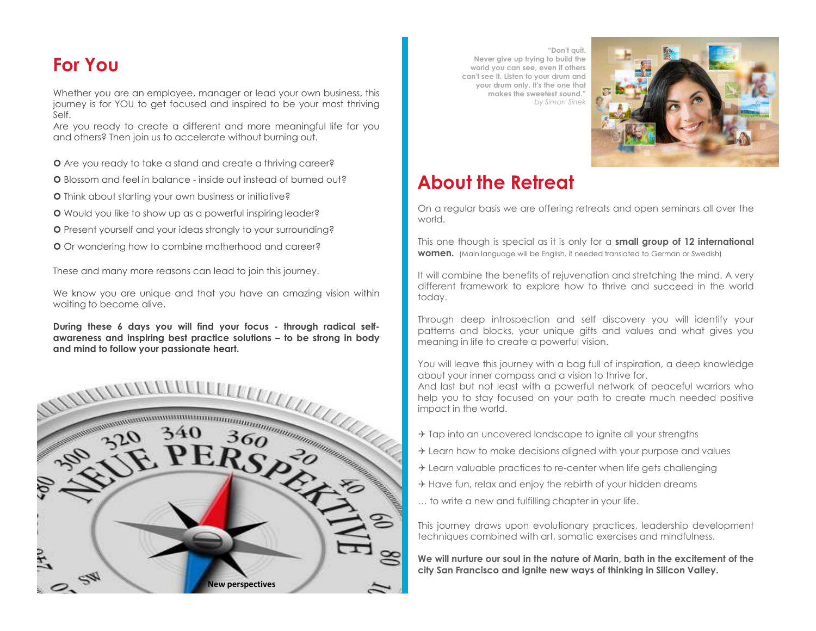## **For You**

Whether you are an employee, manager or lead your own business, this<br>interact is far YOU to get factuage and inspired to be your meet this inc journey is for YOU to get focused and inspired to be your most thriving Self.

Schicken Sie uns bitte eine E-Mail mit Ihren Kontaktdaten und einer kurzen Beschreibung zur Motivation der Teilnahme.

Are you ready to create a different and more meaningful life for you and others? Then join us to accelerate without burning out.

- Are you ready to take <sup>a</sup> stand and create <sup>a</sup> thriving career?
- Blossom and feel in balance inside out instead of burned out?
- **O** Think about starting your own business or initiative?
- Would you like to show up as <sup>a</sup> powerful inspiring leader?
- Present yourself and your ideas strongly to your surrounding?
- **O** Or wondering how to combine motherhood and career?

These and many more reasons can lead to join this journey.

We know you are unique and that you have an amazing vision within waiting to become alive.

awareness and inspiring best practice solutions - to be strong in body **and mind to follow your passionate heart.**



**"Don't quit. Never give up trying to build the world you can see, even if others can't see it. Listen to your drum and your drum only. It's the one that makes the sweetest sound."***by Simon Sinek*



## **About the Retreat**

On <sup>a</sup> regular basis we are offering retreats and open seminars all over the world.

This one though is special as it is only for <sup>a</sup> **small group of <sup>12</sup> international women.** (Main language will be English, if needed translated to German or Swedish)

It will combine the benefits of rejuvenation and stretching the mind. <sup>A</sup> very different framework to explore how to thrive and succeed in the world today.

Through deep introspection andDuring these 6 days you will find your focus - through radical self- Through deep introspection and self discovery you will identify your<br>museumers and transition best prestice solutions to be streng in bedy. Through a blo patterns and blocks, your unique gifts and values and what gives you meaning in life to create <sup>a</sup> powerful vision.

about your inner compass and <sup>a</sup> vision to thrive for.

And last but not least with <sup>a</sup> powerful network of peaceful warriors who help you to stay focused on your path to create much needed positive impact in the world.

- $\rightarrow$  Tap into an uncovered landscape to ignite all your strengths
- $\rightarrow$  Learn how to make decisions aligned with your purpose and values
- $\rightarrow$  Learn valuable practices to re-center when life gets challenging
- $\rightarrow$  Have fun, relax and enjoy the rebirth of your hidden dreams
- … to write <sup>a</sup> new and fulfilling chapter in your life.

This journey draws upon evolutionary practices, leadership development techniques combined with art, somatic exercises and mindfulness.

We will nurture our soul in the nature of Marin, bath in the excitement of the city San Francisco and ignite new ways of thinking in Silicon Valley.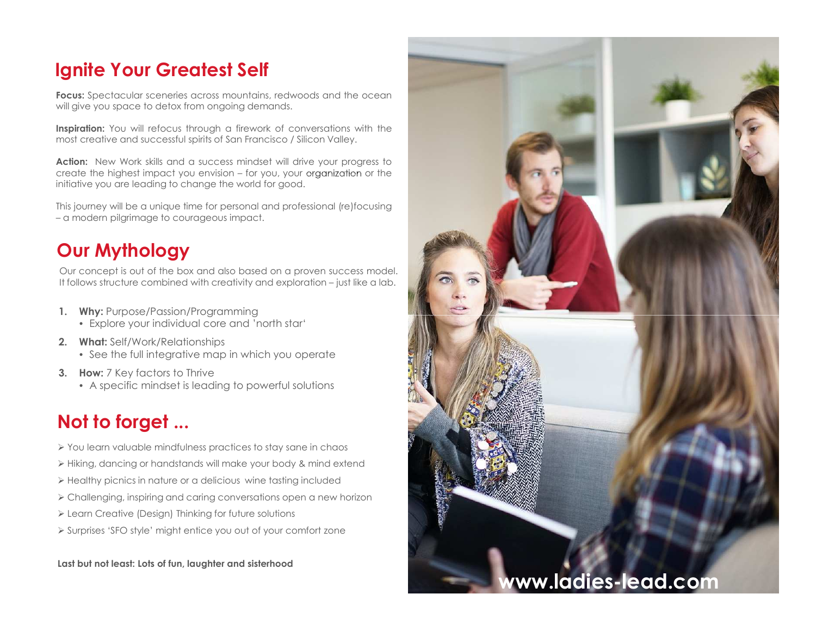## **Ignite Your Greatest Self**

**Focus:** Spectacular sceneries across mountains, redwoods and the ocean<br>will situated use accepts alater from acrosing demands will give you space to detox from ongoing demands.

**Inspiration:** You will refocus through <sup>a</sup> firework of conversations with the most creative and successful spirits of San Francisco / Silicon Valley.

**Action:** New Work skills and <sup>a</sup> success mindset will drive your progress to create the highest impact you envision – for you, your organization or the initiative you are leading to change the world for good.

This journey will be <sup>a</sup> unique time for personal and professional (re)focusing – <sup>a</sup> modern pilgrimage to courageous impact.

## **Our Mythology**

Our concept is out of the box and also based on a proven success model.<br>It follows structure combined with creativity and evalentian with like a lab. It follows structure combined with creativity and exploration – just like <sup>a</sup> lab.

- **1. Why:** Purpose/Passion/Programming
	- Explore your individual core and 'north star'
- **2. What:** Self/Work/Relationships
	- See the full integrative map in which you operate
- **3. How:** <sup>7</sup> Key factors to Thrive
	- <sup>A</sup> specific mindset is leading to powerful solutions

## **Not to forget ...**

- $\triangleright$  You learn valuable mindfulness practices to stay sane in chaos
- $\triangleright$  Hiking, dancing or handstands will make your body & mind extend
- $\triangleright$  Healthy picnics in nature or a delicious  $\,$  wine tasting included
- $\triangleright$  Challenging, inspiring and caring conversations open a new horizon
- $\triangleright$  Learn Creative (Design) Thinking for future solutions
- $\triangleright$  Surprises 'SFO style' might entice you out of your comfort zone

**Last but not least: Lots of fun, laughter and sisterhood**

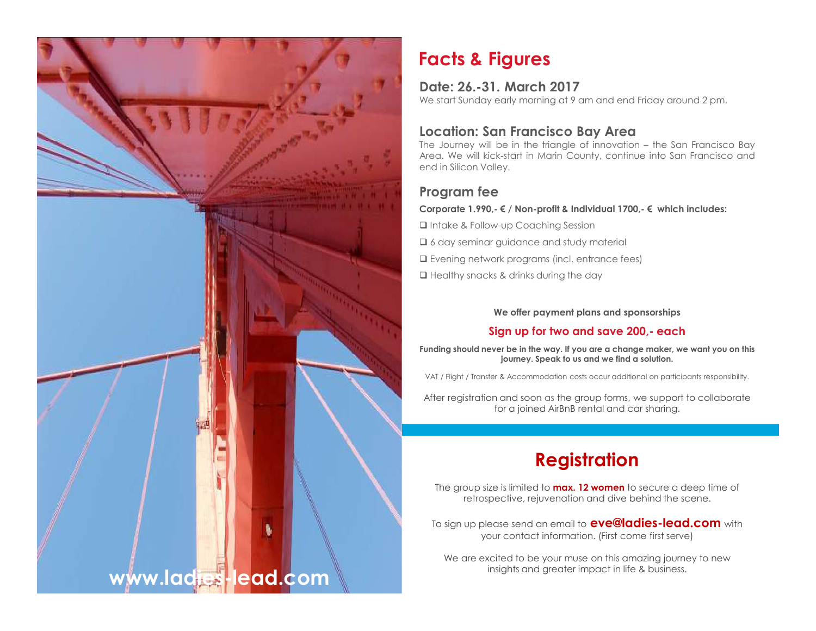

## **Facts & Figures**

#### **Date: 26.-31. March <sup>2017</sup>**

We start Sunday early morning at <sup>9</sup> am and end Friday around <sup>2</sup> pm.

#### **Location: San Francisco Bay Area**

The Journey will be in the triangle of innovation – the San Francisco Bay Area. We will kick-start in Marin County, continue into San Francisco and end in Silicon Valley.

#### **Program fee**

#### **Corporate 1.990,- € / Non-profit & Individual 1700,- € which includes:**

Intake & Follow-up Coaching Session

 $\square$  6 day seminar guidance and study material

 $\Box$  Evening network programs (incl. entrance fees)

 $\square$  Healthy snacks & drinks during the day

#### **We offer payment plans and sponsorships**

#### **Sign up for two and save 200,- each**

**Funding should never be in the way. If you are a change maker, we want you on this journey. Speak to us and we find a solution.**

VAT / Flight / Transfer & Accommodation costs occur additional on participants responsibility.

After registration and soon as the group forms, we support to collaborate for a joined AirBnB rental and car sharing.

## **Registration**

The group size is limited to **max. 12 women** to secure a deep time of retrospective, rejuvenation and dive behind the scene.

To sign up please send an email to **eve@ladies-lead.com** with your contact information. (First come first serve)

We are excited to be your muse on this amazing journey to new insights and greater impact in life & business.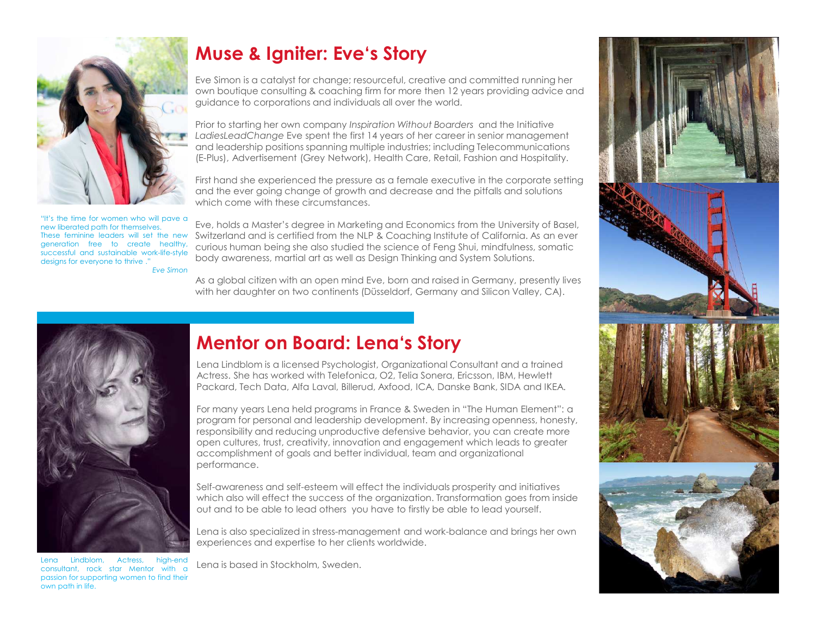

"It's the time for women who will pave <sup>a</sup> new liberated path for themselves. These feminine leaders will set the new generation free to create healthy, successful and sustainable work-life-style designs for everyone to thrive ." *Eve Simon*

## **Muse & Igniter: Eve's Story**

Eve Simon is a catalyst for change; resourceful, creative and committed running her own boutique consulting & coaching firm for more then 12 years providing advice and guidance to corporations and individuals all over the world.

Prior to starting her own company *Inspiration Without Boarders* and the Initiative *LadiesLeadChange* Eve spent the first 14 years of her career in senior management and leadership positions spanning multiple industries; including Telecommunications (E-Plus), Advertisement (Grey Network), Health Care, Retail, Fashion and Hospitality.

First hand she experienced the pressure as a female executive in the corporate setting and the ever going change of growth and decrease and the pitfalls and solutions which come with these circumstances.

Eve, holds a Master's degree in Marketing and Economics from the University of Basel, Switzerland and is certified from the NLP & Coaching Institute of California. As an ever curious human being she also studied the science of Feng Shui, mindfulness, somatic body awareness, martial art as well as Design Thinking and System Solutions.

As a global citizen with an open mind Eve, born and raised in Germany, presently lives with her daughter on two continents (Düsseldorf, Germany and Silicon Valley, CA).



Lena Lindblom, Actress, high-end consultant, rock star Mentor with <sup>a</sup> passion for supporting women to find their own path in life.

## **Mentor on Board: Lena's Story**

Lena Lindblom is a licensed Psychologist, Organizational Consultant and a trained Actress. She has worked with Telefonica, O2, Telia Sonera, Ericsson, IBM, Hewlett Packard, Tech Data, Alfa Laval, Billerud, Axfood, ICA, Danske Bank, SIDA and IKEA.

For many years Lena held programs in France & Sweden in "The Human Element": a program for personal and leadership development. By increasing openness, honesty, responsibility and reducing unproductive defensive behavior, you can create more open cultures, trust, creativity, innovation and engagement which leads to greater accomplishment of goals and better individual, team and organizational performance.

Self-awareness and self-esteem will effect the individuals prosperity and initiatives which also will effect the success of the organization. Transformation goes from inside out and to be able to lead others you have to firstly be able to lead yourself.

Lena is also specialized in stress-management and work-balance and brings her own experiences and expertise to her clients worldwide.

Lena is based in Stockholm, Sweden.